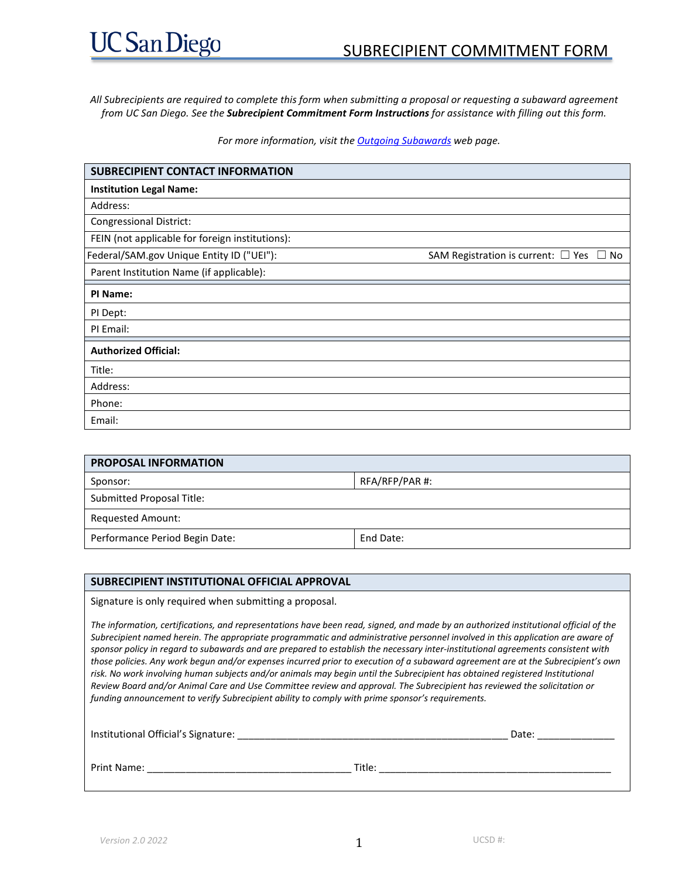*All Subrecipients are required to complete this form when submitting a proposal or requesting a subaward agreement from UC San Diego. See the Subrecipient Commitment Form Instructions for assistance with filling out this form.*

*For more information, visit th[e Outgoing Subawards](http://blink.ucsd.edu/research/managing-awards/award-administration/subcontract-subaward/index.html) web page.*

| <b>SUBRECIPIENT CONTACT INFORMATION</b>         |                                               |
|-------------------------------------------------|-----------------------------------------------|
| <b>Institution Legal Name:</b>                  |                                               |
| Address:                                        |                                               |
| <b>Congressional District:</b>                  |                                               |
| FEIN (not applicable for foreign institutions): |                                               |
| Federal/SAM.gov Unique Entity ID ("UEI"):       | SAM Registration is current: $\Box$ Yes<br>No |
| Parent Institution Name (if applicable):        |                                               |
| PI Name:                                        |                                               |
| PI Dept:                                        |                                               |
| PI Email:                                       |                                               |
| <b>Authorized Official:</b>                     |                                               |
| Title:                                          |                                               |
| Address:                                        |                                               |
| Phone:                                          |                                               |
| Email:                                          |                                               |

| <b>PROPOSAL INFORMATION</b>    |                |  |  |  |
|--------------------------------|----------------|--|--|--|
| Sponsor:                       | RFA/RFP/PAR #: |  |  |  |
| Submitted Proposal Title:      |                |  |  |  |
| <b>Requested Amount:</b>       |                |  |  |  |
| Performance Period Begin Date: | End Date:      |  |  |  |

#### **SUBRECIPIENT INSTITUTIONAL OFFICIAL APPROVAL**

Signature is only required when submitting a proposal.

*The information, certifications, and representations have been read, signed, and made by an authorized institutional official of the Subrecipient named herein. The appropriate programmatic and administrative personnel involved in this application are aware of sponsor policy in regard to subawards and are prepared to establish the necessary inter-institutional agreements consistent with those policies. Any work begun and/or expenses incurred prior to execution of a subaward agreement are at the Subrecipient's own*  risk. No work involving human subjects and/or animals may begin until the Subrecipient has obtained registered Institutional *Review Board and/or Animal Care and Use Committee review and approval. The Subrecipient has reviewed the solicitation or funding announcement to verify Subrecipient ability to comply with prime sponsor's requirements.*

Institutional Official's Signature: \_\_\_\_\_\_\_\_\_\_\_\_\_\_\_\_\_\_\_\_\_\_\_\_\_\_\_\_\_\_\_\_\_\_\_\_\_\_\_\_\_\_\_\_\_\_\_\_\_ Date: \_\_\_\_\_\_\_\_\_\_\_\_\_\_ Print Name: \_\_\_\_\_\_\_\_\_\_\_\_\_\_\_\_\_\_\_\_\_\_\_\_\_\_\_\_\_\_\_\_\_\_\_\_\_ Title: \_\_\_\_\_\_\_\_\_\_\_\_\_\_\_\_\_\_\_\_\_\_\_\_\_\_\_\_\_\_\_\_\_\_\_\_\_\_\_\_\_\_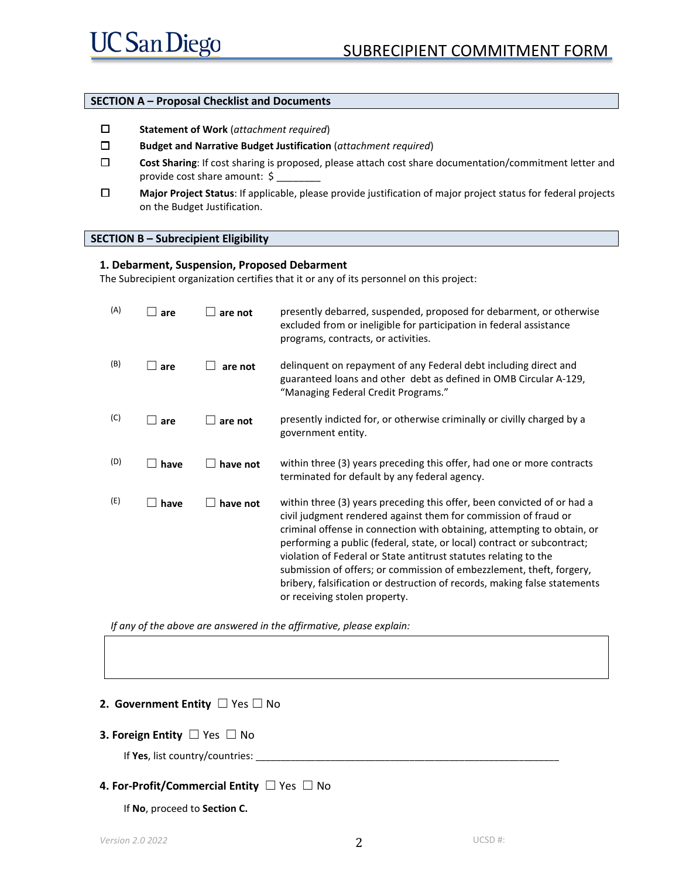#### **SECTION A – Proposal Checklist and Documents**

- ☐ **Statement of Work** (*attachment required*)
- ☐ **Budget and Narrative Budget Justification** (*attachment required*)
- ☐ **Cost Sharing**: If cost sharing is proposed, please attach cost share documentation/commitment letter and provide cost share amount: \$
- ☐ **Major Project Status**: If applicable, please provide justification of major project status for federal projects on the Budget Justification.

#### **SECTION B – Subrecipient Eligibility**

#### **1. Debarment, Suspension, Proposed Debarment**

The Subrecipient organization certifies that it or any of its personnel on this project:

| (A) | are        | are not  | presently debarred, suspended, proposed for debarment, or otherwise<br>excluded from or ineligible for participation in federal assistance<br>programs, contracts, or activities.                                                                                                                                                                                                                                                                                                                                                                          |
|-----|------------|----------|------------------------------------------------------------------------------------------------------------------------------------------------------------------------------------------------------------------------------------------------------------------------------------------------------------------------------------------------------------------------------------------------------------------------------------------------------------------------------------------------------------------------------------------------------------|
| (B) | $\Box$ are | are not  | delinquent on repayment of any Federal debt including direct and<br>guaranteed loans and other debt as defined in OMB Circular A-129,<br>"Managing Federal Credit Programs."                                                                                                                                                                                                                                                                                                                                                                               |
| (C) | are        | are not  | presently indicted for, or otherwise criminally or civilly charged by a<br>government entity.                                                                                                                                                                                                                                                                                                                                                                                                                                                              |
| (D) | have       | have not | within three (3) years preceding this offer, had one or more contracts<br>terminated for default by any federal agency.                                                                                                                                                                                                                                                                                                                                                                                                                                    |
| (E) | have       | have not | within three (3) years preceding this offer, been convicted of or had a<br>civil judgment rendered against them for commission of fraud or<br>criminal offense in connection with obtaining, attempting to obtain, or<br>performing a public (federal, state, or local) contract or subcontract;<br>violation of Federal or State antitrust statutes relating to the<br>submission of offers; or commission of embezzlement, theft, forgery,<br>bribery, falsification or destruction of records, making false statements<br>or receiving stolen property. |

*If any of the above are answered in the affirmative, please explain:*

#### **2. Government Entity** ☐ Yes ☐ No

#### **3. Foreign Entity** ☐ Yes ☐ No

If Yes, list country/countries:

#### **4. For-Profit/Commercial Entity** ☐ Yes ☐ No

If **No**, proceed to **Section C.**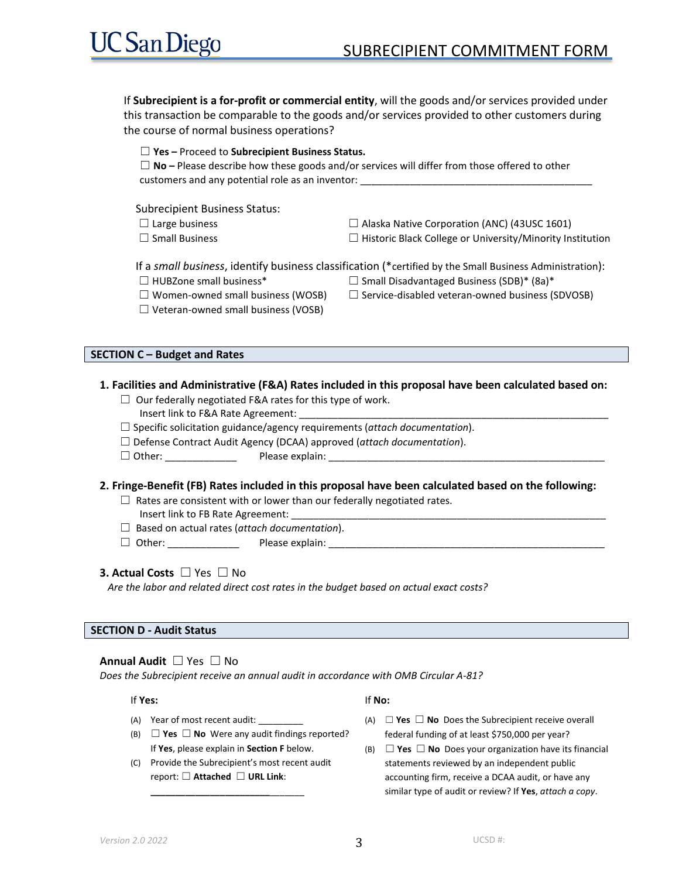If **Subrecipient is a for-profit or commercial entity**, will the goods and/or services provided under this transaction be comparable to the goods and/or services provided to other customers during the course of normal business operations?

| $\Box$ Yes – Proceed to Subrecipient Business Status.<br>$\Box$ No – Please describe how these goods and/or services will differ from those offered to other<br>customers and any potential role as an inventor: |                                                                  |  |  |  |  |  |
|------------------------------------------------------------------------------------------------------------------------------------------------------------------------------------------------------------------|------------------------------------------------------------------|--|--|--|--|--|
| <b>Subrecipient Business Status:</b>                                                                                                                                                                             |                                                                  |  |  |  |  |  |
| $\Box$ Large business                                                                                                                                                                                            | $\Box$ Alaska Native Corporation (ANC) (43USC 1601)              |  |  |  |  |  |
| $\Box$ Small Business                                                                                                                                                                                            | $\Box$ Historic Black College or University/Minority Institution |  |  |  |  |  |
| If a small business, identify business classification (*certified by the Small Business Administration):                                                                                                         |                                                                  |  |  |  |  |  |
| $\Box$ HUBZone small business*                                                                                                                                                                                   | $\Box$ Small Disadvantaged Business (SDB)* (8a)*                 |  |  |  |  |  |
| $\Box$ Women-owned small business (WOSB)                                                                                                                                                                         | $\Box$ Service-disabled veteran-owned business (SDVOSB)          |  |  |  |  |  |
| $\Box$ Veteran-owned small business (VOSB)                                                                                                                                                                       |                                                                  |  |  |  |  |  |

#### **SECTION C – Budget and Rates**

#### **1. Facilities and Administrative (F&A) Rates included in this proposal have been calculated based on:**

- $\Box$  Our federally negotiated F&A rates for this type of work.
	- Insert link to F&A Rate Agreement:
- ☐ Specific solicitation guidance/agency requirements (*attach documentation*).
- ☐ Defense Contract Audit Agency (DCAA) approved (*attach documentation*).
- $\Box$  Other:  $\Box$  Please explain:

#### **2. Fringe-Benefit (FB) Rates included in this proposal have been calculated based on the following:**

- $\Box$  Rates are consistent with or lower than our federally negotiated rates.
	- Insert link to FB Rate Agreement:
- ☐ Based on actual rates (*attach documentation*).
- ☐ Other: \_\_\_\_\_\_\_\_\_\_\_\_\_ Please explain: \_\_\_\_\_\_\_\_\_\_\_\_\_\_\_\_\_\_\_\_\_\_\_\_\_\_\_\_\_\_\_\_\_\_\_\_\_\_\_\_\_\_\_\_\_\_\_\_\_\_

#### **3. Actual Costs** ☐ Yes ☐ No

*Are the labor and related direct cost rates in the budget based on actual exact costs?*

#### **SECTION D - Audit Status**

#### **Annual Audit** ☐ Yes ☐ No

*Does the Subrecipient receive an annual audit in accordance with OMB Circular A-81?*

#### If **Yes:**

- (A) Year of most recent audit:
- (B) ☐ **Yes** ☐ **No** Were any audit findings reported? If **Yes**, please explain in **Section F** below.
- (C) Provide the Subrecipient's most recent audit report: ☐ **Attached** ☐ **URL Link**: **\_\_\_\_\_\_\_\_\_\_\_\_\_\_\_\_\_\_\_\_\_\_\_\_**\_\_\_\_\_\_\_

#### If **No:**

- (A) ☐ **Yes** ☐ **No** Does the Subrecipient receive overall federal funding of at least \$750,000 per year?
- (B) ☐ **Yes** ☐ **No** Does your organization have its financial statements reviewed by an independent public accounting firm, receive a DCAA audit, or have any similar type of audit or review? If **Yes**, *attach a copy*.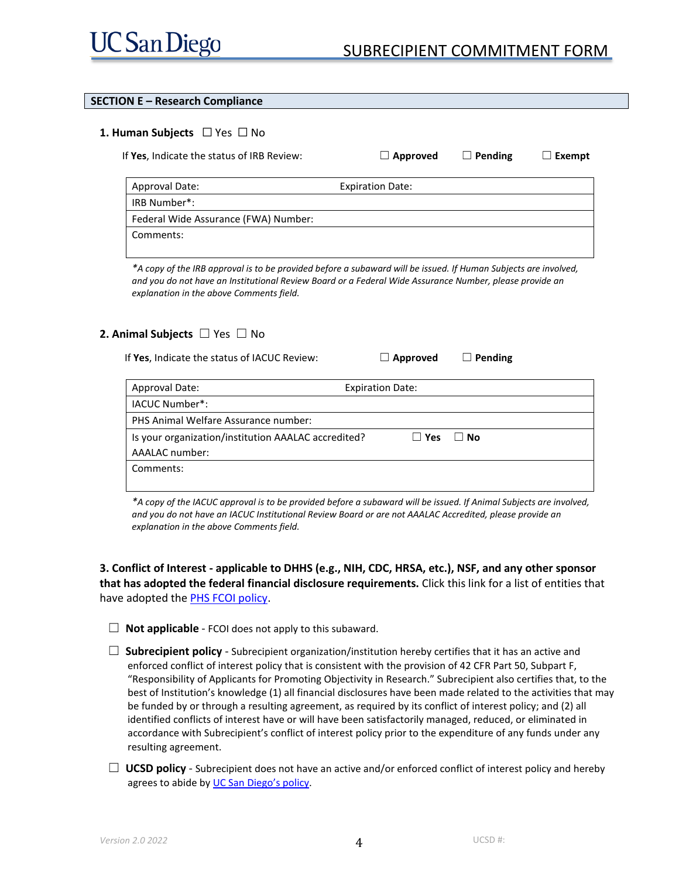# SUBRECIPIENT COMMITMENT FORM

#### **SECTION E – Research Compliance**

#### **1. Human Subjects** ☐ Yes ☐ No

If **Yes**, Indicate the status of IRB Review: ☐ **Approved** ☐ **Pending** ☐ **Exempt** Approval Date: Expiration Date: IRB Number\*: Federal Wide Assurance (FWA) Number: Comments:

*\*A copy of the IRB approval is to be provided before a subaward will be issued. If Human Subjects are involved, and you do not have an Institutional Review Board or a Federal Wide Assurance Number, please provide an explanation in the above Comments field.*

#### **2. Animal Subjects** ☐ Yes ☐ No

If **Yes**, Indicate the status of IACUC Review: ☐ **Approved** ☐ **Pending**

| Approval Date:                                      | <b>Expiration Date:</b> |            |           |
|-----------------------------------------------------|-------------------------|------------|-----------|
| IACUC Number*:                                      |                         |            |           |
| PHS Animal Welfare Assurance number:                |                         |            |           |
| Is your organization/institution AAALAC accredited? |                         | $\Box$ Yes | $\Box$ No |
| AAALAC number:                                      |                         |            |           |
| Comments:                                           |                         |            |           |
|                                                     |                         |            |           |

*\*A copy of the IACUC approval is to be provided before a subaward will be issued. If Animal Subjects are involved, and you do not have an IACUC Institutional Review Board or are not AAALAC Accredited, please provide an explanation in the above Comments field.*

**3. Conflict of Interest - applicable to DHHS (e.g., NIH, CDC, HRSA, etc.), NSF, and any other sponsor that has adopted the federal financial disclosure requirements.** Click this link for a list of entities that have adopted th[e PHS FCOI policy.](http://nrc59.nas.edu/pub/fcoi_agencies_phs_regs.html)

- $\Box$  **Not applicable** FCOI does not apply to this subaward.
- □ **Subrecipient policy** Subrecipient organization/institution hereby certifies that it has an active and enforced conflict of interest policy that is consistent with the provision of 42 CFR Part 50, Subpart F, "Responsibility of Applicants for Promoting Objectivity in Research." Subrecipient also certifies that, to the best of Institution's knowledge (1) all financial disclosures have been made related to the activities that may be funded by or through a resulting agreement, as required by its conflict of interest policy; and (2) all identified conflicts of interest have or will have been satisfactorily managed, reduced, or eliminated in accordance with Subrecipient's conflict of interest policy prior to the expenditure of any funds under any resulting agreement.
- □ **UCSD policy** Subrecipient does not have an active and/or enforced conflict of interest policy and hereby agrees to abide by [UC San Diego's policy.](http://policy.ucop.edu/doc/2500558/PHS_COI)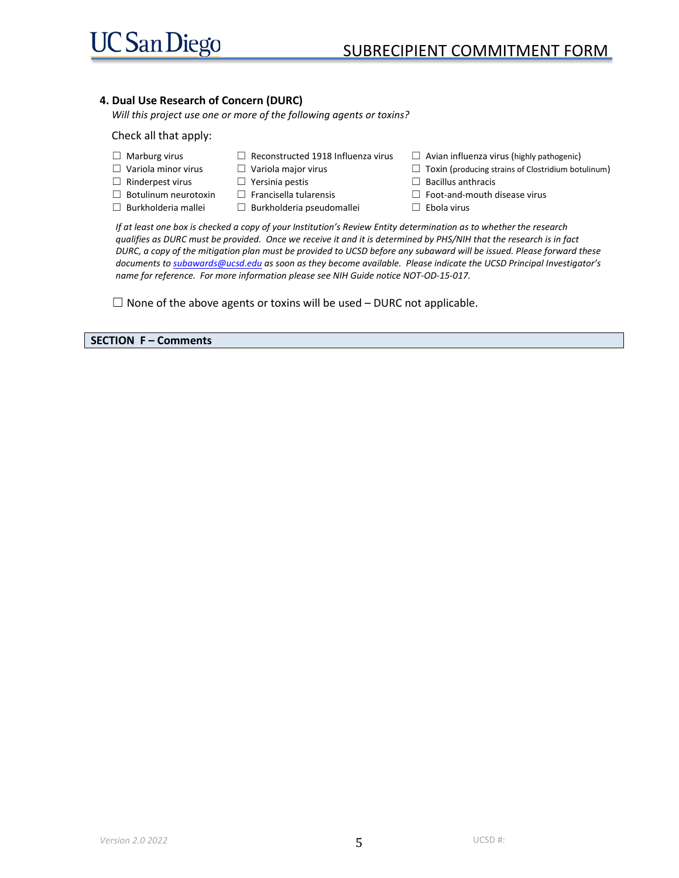#### **4. Dual Use Research of Concern (DURC)**

*Will this project use one or more of the following agents or toxins?*

#### Check all that apply:

- ☐ Marburg virus
- ☐ Reconstructed 1918 Influenza virus ☐ Variola major virus
- □ Variola minor virus ☐ Rinderpest virus
	- □ Yersinia pestis  $\Box$  Francisella tularensis
- □ Botulinum neurotoxin ☐ Burkholderia mallei
	- ☐ Burkholderia pseudomallei
- $\Box$  Avian influenza virus (highly pathogenic)
- $\Box$  Toxin (producing strains of Clostridium botulinum)
- ☐ Bacillus anthracis
- ☐ Foot-and-mouth disease virus
- ☐ Ebola virus

*If at least one box is checked a copy of your Institution's Review Entity determination as to whether the research qualifies as DURC must be provided. Once we receive it and it is determined by PHS/NIH that the research is in fact DURC, a copy of the mitigation plan must be provided to UCSD before any subaward will be issued. Please forward these documents t[o subawards@ucsd.edu](mailto:subawards@ucsd.edu) as soon as they become available. Please indicate the UCSD Principal Investigator's name for reference. For more information please see NIH Guide notice NOT-OD-15-017.* 

 $\Box$  None of the above agents or toxins will be used – DURC not applicable.

**SECTION F – Comments**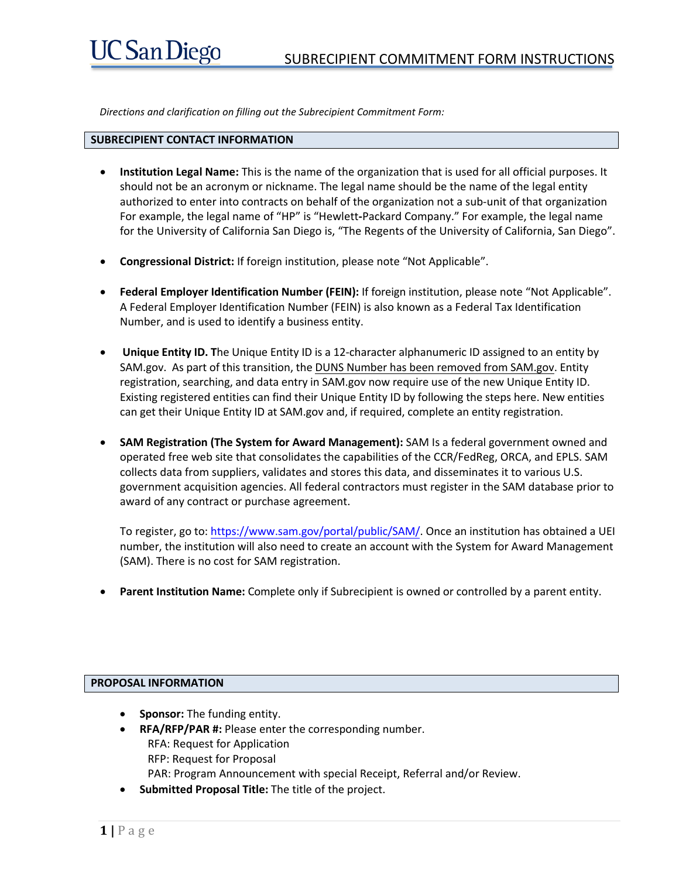*Directions and clarification on filling out the Subrecipient Commitment Form:* 

# **SUBRECIPIENT CONTACT INFORMATION**

- **Institution Legal Name:** This is the name of the organization that is used for all official purposes. It should not be an acronym or nickname. The legal name should be the name of the legal entity authorized to enter into contracts on behalf of the organization not a sub-unit of that organization For example, the legal name of "HP" is "Hewlett**-**Packard Company." For example, the legal name for the University of California San Diego is, "The Regents of the University of California, San Diego".
- **Congressional District:** If foreign institution, please note "Not Applicable".
- **Federal Employer Identification Number (FEIN):** If foreign institution, please note "Not Applicable". A Federal Employer Identification Number (FEIN) is also known as a Federal Tax Identification Number, and is used to identify a business entity.
- • **Unique Entity ID. T**he Unique Entity ID is a 12-character alphanumeric ID assigned to an entity by SAM.gov. As part of this transition, the DUNS Number has been removed from SAM.gov. Entity registration, searching, and data entry in SAM.gov now require use of the new Unique Entity ID. Existing registered entities can find their Unique Entity ID by following the steps here. New entities can get their Unique Entity ID at SAM.gov and, if required, complete an entity registration.
- **SAM Registration (The System for [Award Management\):](http://www.dnb.com/get-a-duns-number.html)** SAM Is a federal government owned and operated free web site that consolidates the capabilities of the CCR/FedReg, ORCA, and EPLS. SAM collects data from suppliers, validates and stores this data, and disseminates it to various U.S. government acquisition agencies. All federal contractors must register in the SAM database prior to award of any contract or purchase agreement.

To register, go to: https://www.sam.gov/portal/public/SAM/. Once an institution has obtained a UEI number, the institution will also need to create an account with the System for Award Management (SAM). There is no [cost for SAM registration.](https://www.sam.gov/portal/public/SAM/)

• **Parent Institution Name:** Complete only if Subrecipient is owned or controlled by a parent entity.

# **PROPOSAL INFORMATION**

- **Sponsor:** The funding entity.
- **RFA/RFP/PAR #:** Please enter the corresponding number. RFA: Request for Application RFP: Request for Proposal PAR: Program Announcement with special Receipt, Referral and/or Review.
- **Submitted Proposal Title:** The title of the project.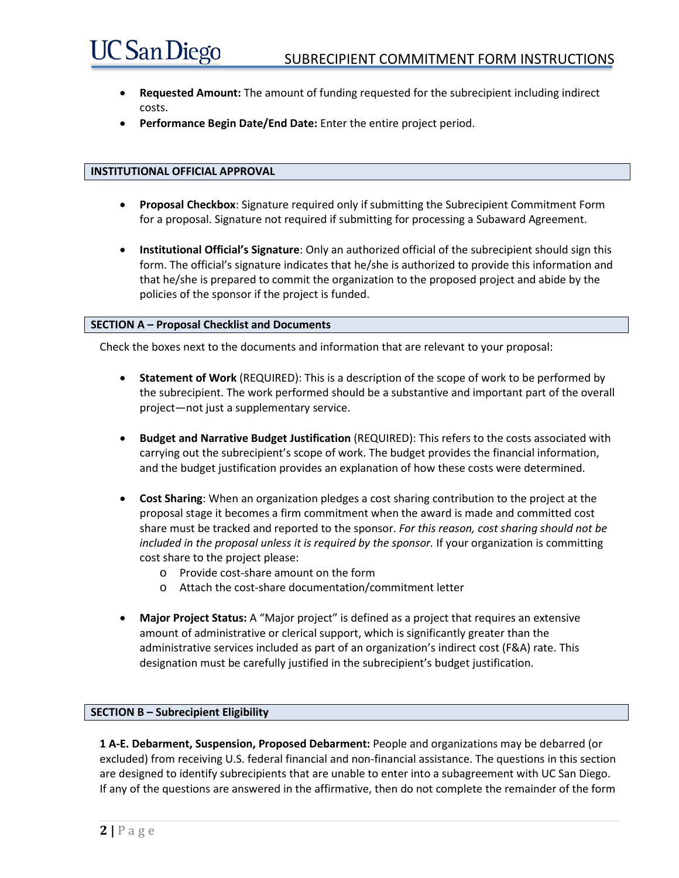- **Requested Amount:** The amount of funding requested for the subrecipient including indirect costs.
- **Performance Begin Date/End Date:** Enter the entire project period.

### **INSTITUTIONAL OFFICIAL APPROVAL**

**UC San Diego** 

- **Proposal Checkbox**: Signature required only if submitting the Subrecipient Commitment Form for a proposal. Signature not required if submitting for processing a Subaward Agreement.
- **Institutional Official's Signature**: Only an authorized official of the subrecipient should sign this form. The official's signature indicates that he/she is authorized to provide this information and that he/she is prepared to commit the organization to the proposed project and abide by the policies of the sponsor if the project is funded.

#### **SECTION A – Proposal Checklist and Documents**

Check the boxes next to the documents and information that are relevant to your proposal:

- **Statement of Work** (REQUIRED): This is a description of the scope of work to be performed by the subrecipient. The work performed should be a substantive and important part of the overall project—not just a supplementary service.
- **Budget and Narrative Budget Justification** (REQUIRED): This refers to the costs associated with carrying out the subrecipient's scope of work. The budget provides the financial information, and the budget justification provides an explanation of how these costs were determined.
- **Cost Sharing**: When an organization pledges a cost sharing contribution to the project at the proposal stage it becomes a firm commitment when the award is made and committed cost share must be tracked and reported to the sponsor. *For this reason, cost sharing should not be included in the proposal unless it is required by the sponsor.* If your organization is committing cost share to the project please:
	- o Provide cost-share amount on the form
	- o Attach the cost-share documentation/commitment letter
- **Major Project Status:** A "Major project" is defined as a project that requires an extensive amount of administrative or clerical support, which is significantly greater than the administrative services included as part of an organization's indirect cost (F&A) rate. This designation must be carefully justified in the subrecipient's budget justification.

#### **SECTION B – Subrecipient Eligibility**

**1 A-E. Debarment, Suspension, Proposed Debarment:** People and organizations may be debarred (or excluded) from receiving U.S. federal financial and non-financial assistance. The questions in this section are designed to identify subrecipients that are unable to enter into a subagreement with UC San Diego. If any of the questions are answered in the affirmative, then do not complete the remainder of the form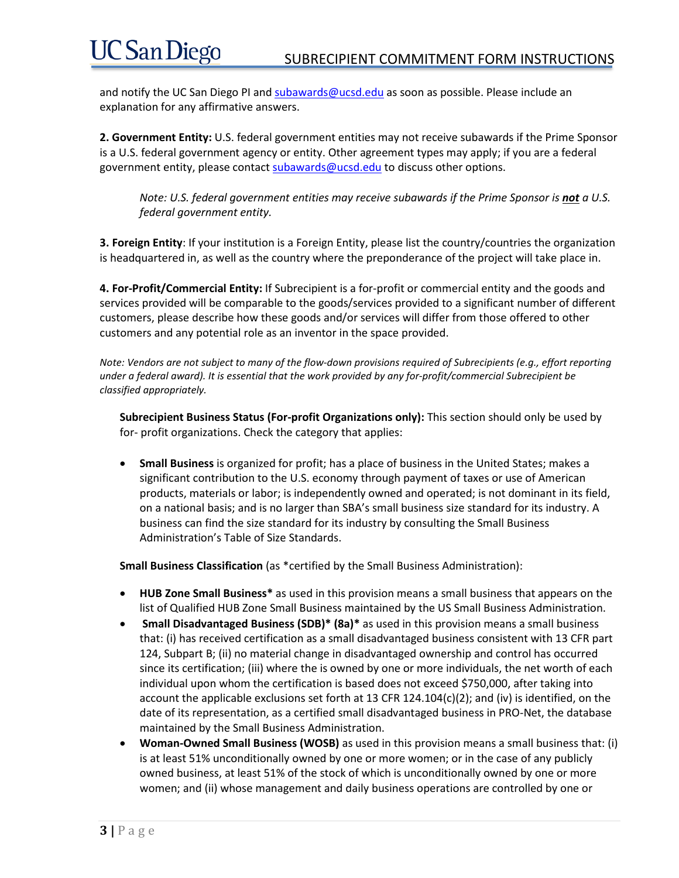# **UC San Diego**

and notify the UC San Diego PI and [subawards@ucsd.edu](mailto:subawards@ucsd.edu) as soon as possible. Please include an explanation for any affirmative answers.

**2. Government Entity:** U.S. federal government entities may not receive subawards if the Prime Sponsor is a U.S. federal government agency or entity. Other agreement types may apply; if you are a federal government entity, please contact [subawards@ucsd.edu](mailto:subawards@ucsd.edu) to discuss other options.

*Note: U.S. federal government entities may receive subawards if the Prime Sponsor is not a U.S. federal government entity.* 

**3. Foreign Entity**: If your institution is a Foreign Entity, please list the country/countries the organization is headquartered in, as well as the country where the preponderance of the project will take place in.

**4. For-Profit/Commercial Entity:** If Subrecipient is a for-profit or commercial entity and the goods and services provided will be comparable to the goods/services provided to a significant number of different customers, please describe how these goods and/or services will differ from those offered to other customers and any potential role as an inventor in the space provided.

*Note: Vendors are not subject to many of the flow-down provisions required of Subrecipients (e.g., effort reporting under a federal award). It is essential that the work provided by any for-profit/commercial Subrecipient be classified appropriately.* 

**Subrecipient Business Status (For-profit Organizations only):** This section should only be used by for- profit organizations. Check the category that applies:

• **Small Business** is organized for profit; has a place of business in the United States; makes a significant contribution to the U.S. economy through payment of taxes or use of American products, materials or labor; is independently owned and operated; is not dominant in its field, on a national basis; and is no larger than SBA's small business size standard for its industry. A business can find the size standard for its industry by consulting the Small Business Administration's Table of Size Standards.

**Small Business Classification** (as \*certified by the Small Business Administration):

- **HUB Zone Small Business\*** as used in this provision means a small business that appears on the list of Qualified HUB Zone Small Business maintained by the US Small Business Administration.
- **Small Disadvantaged Business (SDB)\* (8a)\*** as used in this provision means a small business that: (i) has received certification as a small disadvantaged business consistent with 13 CFR part 124, Subpart B; (ii) no material change in disadvantaged ownership and control has occurred since its certification; (iii) where the is owned by one or more individuals, the net worth of each individual upon whom the certification is based does not exceed \$750,000, after taking into account the applicable exclusions set forth at 13 CFR 124.104(c)(2); and (iv) is identified, on the date of its representation, as a certified small disadvantaged business in PRO-Net, the database maintained by the Small Business Administration.
- **Woman-Owned Small Business (WOSB)** as used in this provision means a small business that: (i) is at least 51% unconditionally owned by one or more women; or in the case of any publicly owned business, at least 51% of the stock of which is unconditionally owned by one or more women; and (ii) whose management and daily business operations are controlled by one or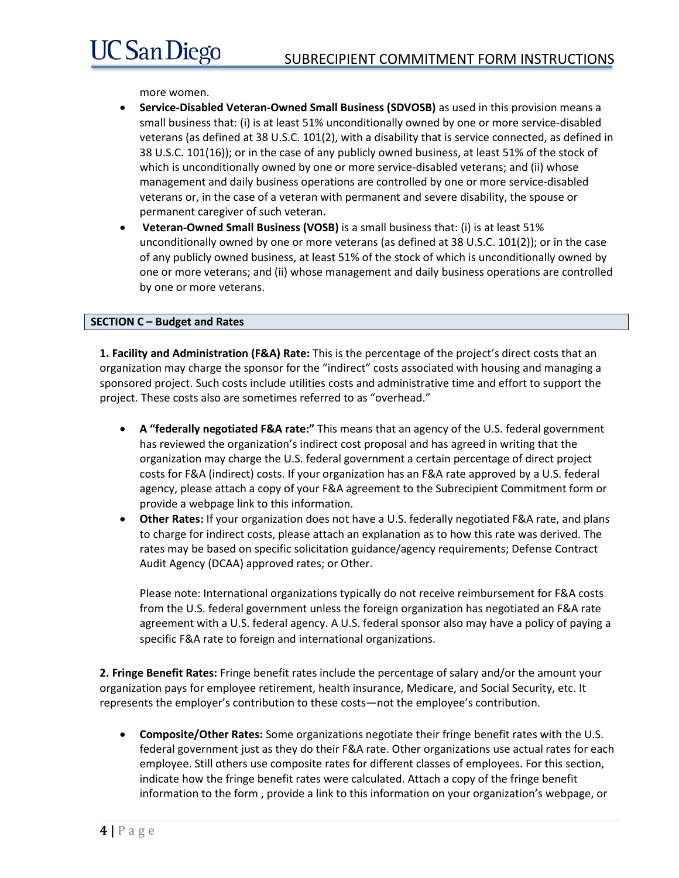more women.

- **Service-Disabled Veteran-Owned Small Business (SDVOSB)** as used in this provision means a small business that: (i) is at least 51% unconditionally owned by one or more service-disabled veterans (as defined at 38 U.S.C. 101(2), with a disability that is service connected, as defined in 38 U.S.C. 101(16)); or in the case of any publicly owned business, at least 51% of the stock of which is unconditionally owned by one or more service-disabled veterans; and (ii) whose management and daily business operations are controlled by one or more service-disabled veterans or, in the case of a veteran with permanent and severe disability, the spouse or permanent caregiver of such veteran.
- **Veteran-Owned Small Business (VOSB)** is a small business that: (i) is at least 51% unconditionally owned by one or more veterans (as defined at 38 U.S.C. 101(2)); or in the case of any publicly owned business, at least 51% of the stock of which is unconditionally owned by one or more veterans; and (ii) whose management and daily business operations are controlled by one or more veterans.

# **SECTION C – Budget and Rates**

**1. Facility and Administration (F&A) Rate:** This is the percentage of the project's direct costs that an organization may charge the sponsor for the "indirect" costs associated with housing and managing a sponsored project. Such costs include utilities costs and administrative time and effort to support the project. These costs also are sometimes referred to as "overhead."

- **A "federally negotiated F&A rate:"** This means that an agency of the U.S. federal government has reviewed the organization's indirect cost proposal and has agreed in writing that the organization may charge the U.S. federal government a certain percentage of direct project costs for F&A (indirect) costs. If your organization has an F&A rate approved by a U.S. federal agency, please attach a copy of your F&A agreement to the Subrecipient Commitment form or provide a webpage link to this information.
- **Other Rates:** If your organization does not have a U.S. federally negotiated F&A rate, and plans to charge for indirect costs, please attach an explanation as to how this rate was derived. The rates may be based on specific solicitation guidance/agency requirements; Defense Contract Audit Agency (DCAA) approved rates; or Other.

Please note: International organizations typically do not receive reimbursement for F&A costs from the U.S. federal government unless the foreign organization has negotiated an F&A rate agreement with a U.S. federal agency. A U.S. federal sponsor also may have a policy of paying a specific F&A rate to foreign and international organizations.

**2. Fringe Benefit Rates:** Fringe benefit rates include the percentage of salary and/or the amount your organization pays for employee retirement, health insurance, Medicare, and Social Security, etc. It represents the employer's contribution to these costs—not the employee's contribution.

• **Composite/Other Rates:** Some organizations negotiate their fringe benefit rates with the U.S. federal government just as they do their F&A rate. Other organizations use actual rates for each employee. Still others use composite rates for different classes of employees. For this section, indicate how the fringe benefit rates were calculated. Attach a copy of the fringe benefit information to the form , provide a link to this information on your organization's webpage, or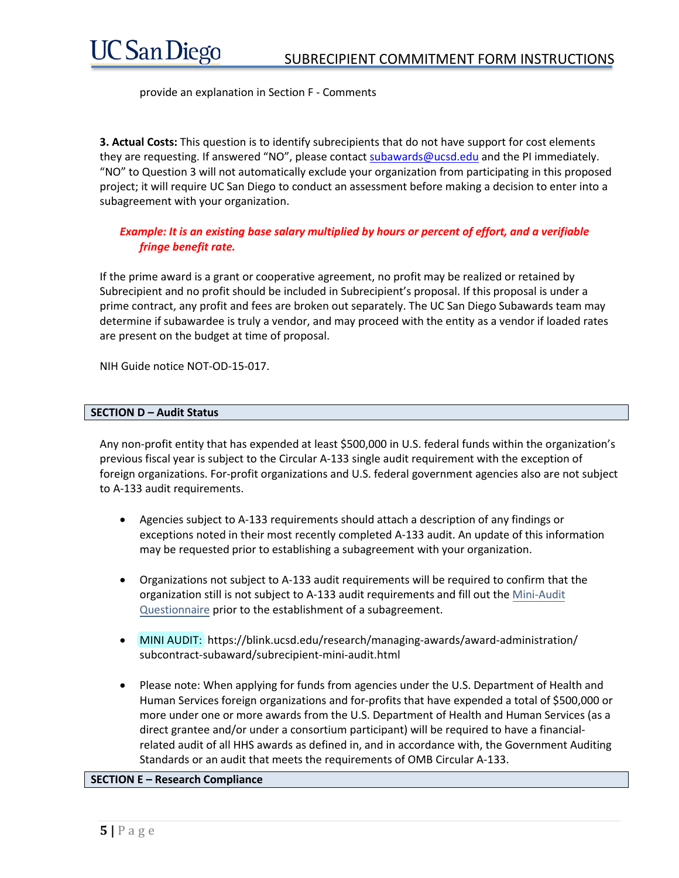provide an explanation in Section F - Comments

**3. Actual Costs:** This question is to identify subrecipients that do not have support for cost elements they are requesting. If answered "NO", please contac[t subawards@ucsd.edu](mailto:subawards@ucsd.edu) and the PI immediately. "NO" to Question 3 will not automatically exclude your organization from participating in this proposed project; it will require UC San Diego to conduct an assessment before making a decision to enter into a subagreement with your organization.

# *Example: It is an existing base salary multiplied by hours or percent of effort, and a verifiable fringe benefit rate.*

If the prime award is a grant or cooperative agreement, no profit may be realized or retained by Subrecipient and no profit should be included in Subrecipient's proposal. If this proposal is under a prime contract, any profit and fees are broken out separately. The UC San Diego Subawards team may determine if subawardee is truly a vendor, and may proceed with the entity as a vendor if loaded rates are present on the budget at time of proposal.

NIH Guide notice NOT-OD-15-017.

# **SECTION D – Audit Status**

Any non-profit entity that has expended at least \$500,000 in U.S. federal funds within the organization's previous fiscal year is subject to the Circular A-133 single audit requirement with the exception of foreign organizations. For-profit organizations and U.S. federal government agencies also are not subject to A-133 audit requirements.

- Agencies subject to A-133 requirements should attach a description of any findings or exceptions noted in their most recently completed A-133 audit. An update of this information may be requested prior to establishing a subagreement with your organization.
- Organizations not subject to A-133 audit requirements will be required to confirm that the organization still is not subject to A-133 audit requirements and fill out the [Mini-Audit](https://blink.ucsd.edu/buy-pay/contract-svcs/subcontract-subaward/) [Questionnaire](https://blink.ucsd.edu/buy-pay/contract-svcs/subcontract-subaward/) prior to the establishment of a subagreement.
- MINI AUDIT: https://blink.ucsd.edu/research/managing-awards/award-administration/ subcontract-subaward/subrecipient-mini-audit.html
- Please note: When applying for funds from agencies under the U.S. Department of Health and Human Services foreign organizations and for-profits that have expended a total of \$500,000 or more under one or more awards from the U.S. Department of Health and Human Services (as a direct grantee and/or under a consortium participant) will be required to have a financialrelated audit of all HHS awards as defined in, and in accordance with, the Government Auditing Standards or an audit that meets the requirements of OMB Circular A-133.

# **SECTION E – Research Compliance**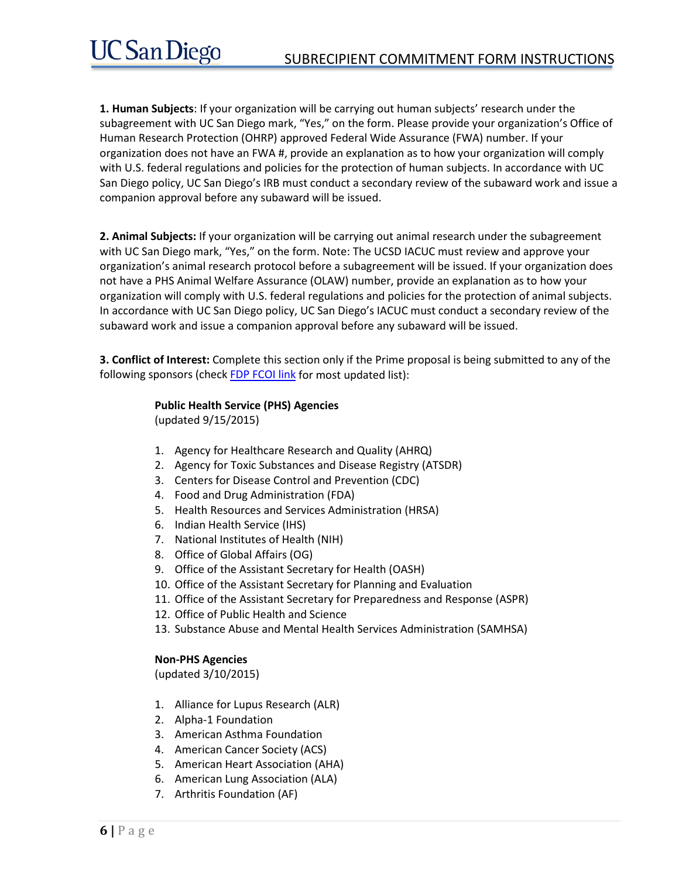**1. Human Subjects**: If your organization will be carrying out human subjects' research under the subagreement with UC San Diego mark, "Yes," on the form. Please provide your organization's Office of Human Research Protection (OHRP) approved Federal Wide Assurance (FWA) number. If your organization does not have an FWA #, provide an explanation as to how your organization will comply with U.S. federal regulations and policies for the protection of human subjects. In accordance with UC San Diego policy, UC San Diego's IRB must conduct a secondary review of the subaward work and issue a companion approval before any subaward will be issued.

**2. Animal Subjects:** If your organization will be carrying out animal research under the subagreement with UC San Diego mark, "Yes," on the form. Note: The UCSD IACUC must review and approve your organization's animal research protocol before a subagreement will be issued. If your organization does not have a PHS Animal Welfare Assurance (OLAW) number, provide an explanation as to how your organization will comply with U.S. federal regulations and policies for the protection of animal subjects. In accordance with UC San Diego policy, UC San Diego's IACUC must conduct a secondary review of the subaward work and issue a companion approval before any subaward will be issued.

**3. Conflict of Interest:** Complete this section only if the Prime proposal is being submitted to any of the following sponsors (chec[k FDP FCOI link](http://nrc59.nas.edu/pub/fcoi_agencies_phs_regs.html) for most updated list):

# **Public Health Service (PHS) Agencies**

(updated 9/15/2015)

- 1. Agency for Healthcare Research and Quality (AHRQ)
- 2. Agency for Toxic Substances and Disease Registry (ATSDR)
- 3. Centers for Disease Control and Prevention (CDC)
- 4. Food and Drug Administration (FDA)
- 5. Health Resources and Services Administration (HRSA)
- 6. Indian Health Service (IHS)
- 7. National Institutes of Health (NIH)
- 8. Office of Global Affairs (OG)
- 9. Office of the Assistant Secretary for Health (OASH)
- 10. Office of the Assistant Secretary for Planning and Evaluation
- 11. Office of the Assistant Secretary for Preparedness and Response (ASPR)
- 12. Office of Public Health and Science
- 13. Substance Abuse and Mental Health Services Administration (SAMHSA)

# **Non-PHS Agencies**

(updated 3/10/2015)

- 1. Alliance for Lupus Research (ALR)
- 2. Alpha-1 Foundation
- 3. American Asthma Foundation
- 4. American Cancer Society (ACS)
- 5. American Heart Association (AHA)
- 6. American Lung Association (ALA)
- 7. Arthritis Foundation (AF)